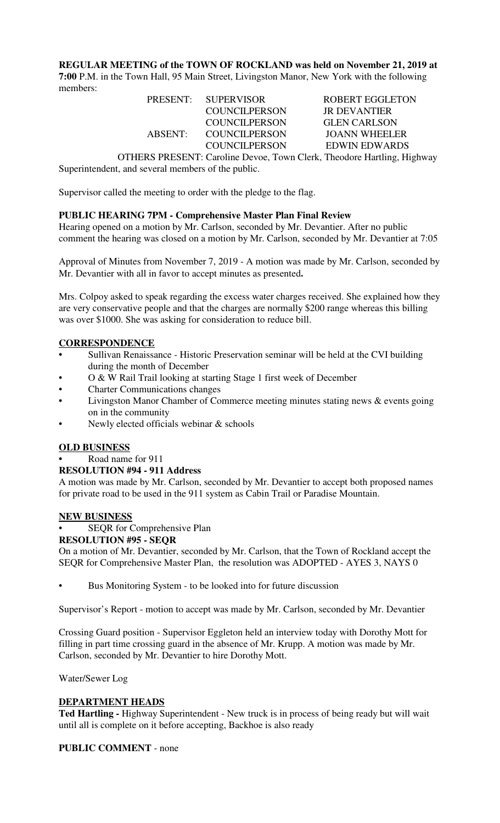**REGULAR MEETING of the TOWN OF ROCKLAND was held on November 21, 2019 at 7:00** P.M. in the Town Hall, 95 Main Street, Livingston Manor, New York with the following members:

|            | PRESENT: SUPERVISOR                                     | <b>ROBERT EGGLETON</b>                       |
|------------|---------------------------------------------------------|----------------------------------------------|
|            | COUNCILPERSON                                           | <b>JR DEVANTIER</b>                          |
|            | COUNCILPERSON                                           | <b>GLEN CARLSON</b>                          |
| $ABSENT^T$ | COUNCILPERSON                                           | JOANN WHEELER                                |
|            | COUNCILPERSON                                           | EDWIN EDWARDS                                |
|            | $\alpha$ muna pondonum $\alpha$ $\beta$ $\beta$ $\beta$ | $\sim$ 1 $\sim$ 1 $\sim$ 1 $\sim$ 1 $\sim$ 1 |

OTHERS PRESENT: Caroline Devoe, Town Clerk, Theodore Hartling, Highway Superintendent, and several members of the public.

Supervisor called the meeting to order with the pledge to the flag.

### **PUBLIC HEARING 7PM - Comprehensive Master Plan Final Review**

Hearing opened on a motion by Mr. Carlson, seconded by Mr. Devantier. After no public comment the hearing was closed on a motion by Mr. Carlson, seconded by Mr. Devantier at 7:05

Approval of Minutes from November 7, 2019 - A motion was made by Mr. Carlson, seconded by Mr. Devantier with all in favor to accept minutes as presented**.**

Mrs. Colpoy asked to speak regarding the excess water charges received. She explained how they are very conservative people and that the charges are normally \$200 range whereas this billing was over \$1000. She was asking for consideration to reduce bill.

#### **CORRESPONDENCE**

- **•** Sullivan Renaissance Historic Preservation seminar will be held at the CVI building during the month of December
- O & W Rail Trail looking at starting Stage 1 first week of December
- Charter Communications changes
- Livingston Manor Chamber of Commerce meeting minutes stating news & events going on in the community
- Newly elected officials webinar & schools

#### **OLD BUSINESS**

# **•** Road name for 911

# **RESOLUTION #94 - 911 Address**

A motion was made by Mr. Carlson, seconded by Mr. Devantier to accept both proposed names for private road to be used in the 911 system as Cabin Trail or Paradise Mountain.

# **NEW BUSINESS**

SEQR for Comprehensive Plan **RESOLUTION #95 - SEQR**

On a motion of Mr. Devantier, seconded by Mr. Carlson, that the Town of Rockland accept the SEQR for Comprehensive Master Plan, the resolution was ADOPTED - AYES 3, NAYS 0

Bus Monitoring System - to be looked into for future discussion

Supervisor's Report - motion to accept was made by Mr. Carlson, seconded by Mr. Devantier

Crossing Guard position - Supervisor Eggleton held an interview today with Dorothy Mott for filling in part time crossing guard in the absence of Mr. Krupp. A motion was made by Mr. Carlson, seconded by Mr. Devantier to hire Dorothy Mott.

Water/Sewer Log

### **DEPARTMENT HEADS**

**Ted Hartling -** Highway Superintendent - New truck is in process of being ready but will wait until all is complete on it before accepting, Backhoe is also ready

#### **PUBLIC COMMENT** - none